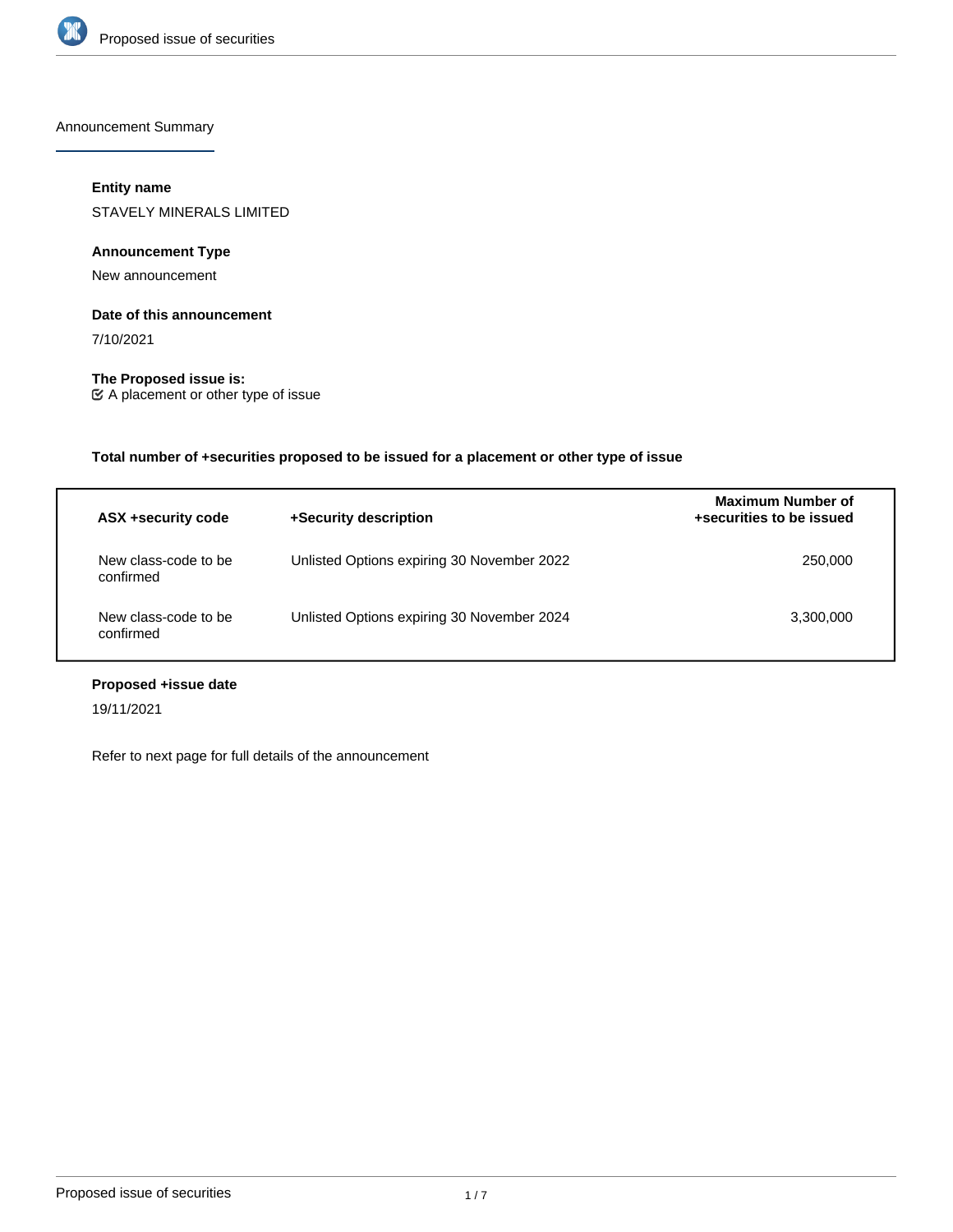

Announcement Summary

# **Entity name**

STAVELY MINERALS LIMITED

# **Announcement Type**

New announcement

# **Date of this announcement**

7/10/2021

**The Proposed issue is:** A placement or other type of issue

**Total number of +securities proposed to be issued for a placement or other type of issue**

| ASX +security code                | +Security description                      | Maximum Number of<br>+securities to be issued |
|-----------------------------------|--------------------------------------------|-----------------------------------------------|
| New class-code to be<br>confirmed | Unlisted Options expiring 30 November 2022 | 250,000                                       |
| New class-code to be<br>confirmed | Unlisted Options expiring 30 November 2024 | 3,300,000                                     |

# **Proposed +issue date**

19/11/2021

Refer to next page for full details of the announcement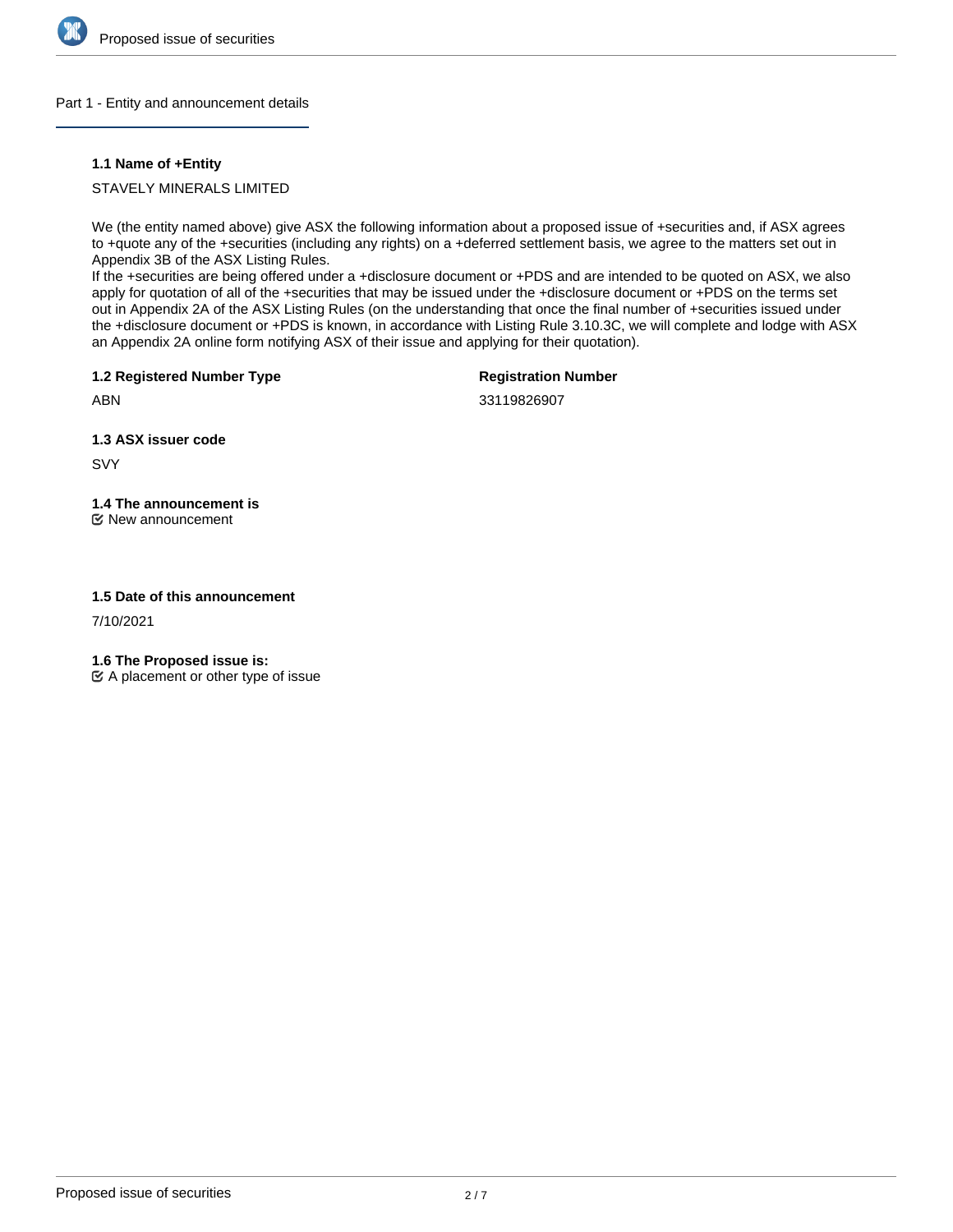

# Part 1 - Entity and announcement details

# **1.1 Name of +Entity**

# STAVELY MINERALS LIMITED

We (the entity named above) give ASX the following information about a proposed issue of +securities and, if ASX agrees to +quote any of the +securities (including any rights) on a +deferred settlement basis, we agree to the matters set out in Appendix 3B of the ASX Listing Rules.

If the +securities are being offered under a +disclosure document or +PDS and are intended to be quoted on ASX, we also apply for quotation of all of the +securities that may be issued under the +disclosure document or +PDS on the terms set out in Appendix 2A of the ASX Listing Rules (on the understanding that once the final number of +securities issued under the +disclosure document or +PDS is known, in accordance with Listing Rule 3.10.3C, we will complete and lodge with ASX an Appendix 2A online form notifying ASX of their issue and applying for their quotation).

**1.2 Registered Number Type**

**Registration Number**

33119826907

**1.3 ASX issuer code**

SVY

ABN

# **1.4 The announcement is**

New announcement

# **1.5 Date of this announcement**

7/10/2021

**1.6 The Proposed issue is:**

 $\mathfrak{C}$  A placement or other type of issue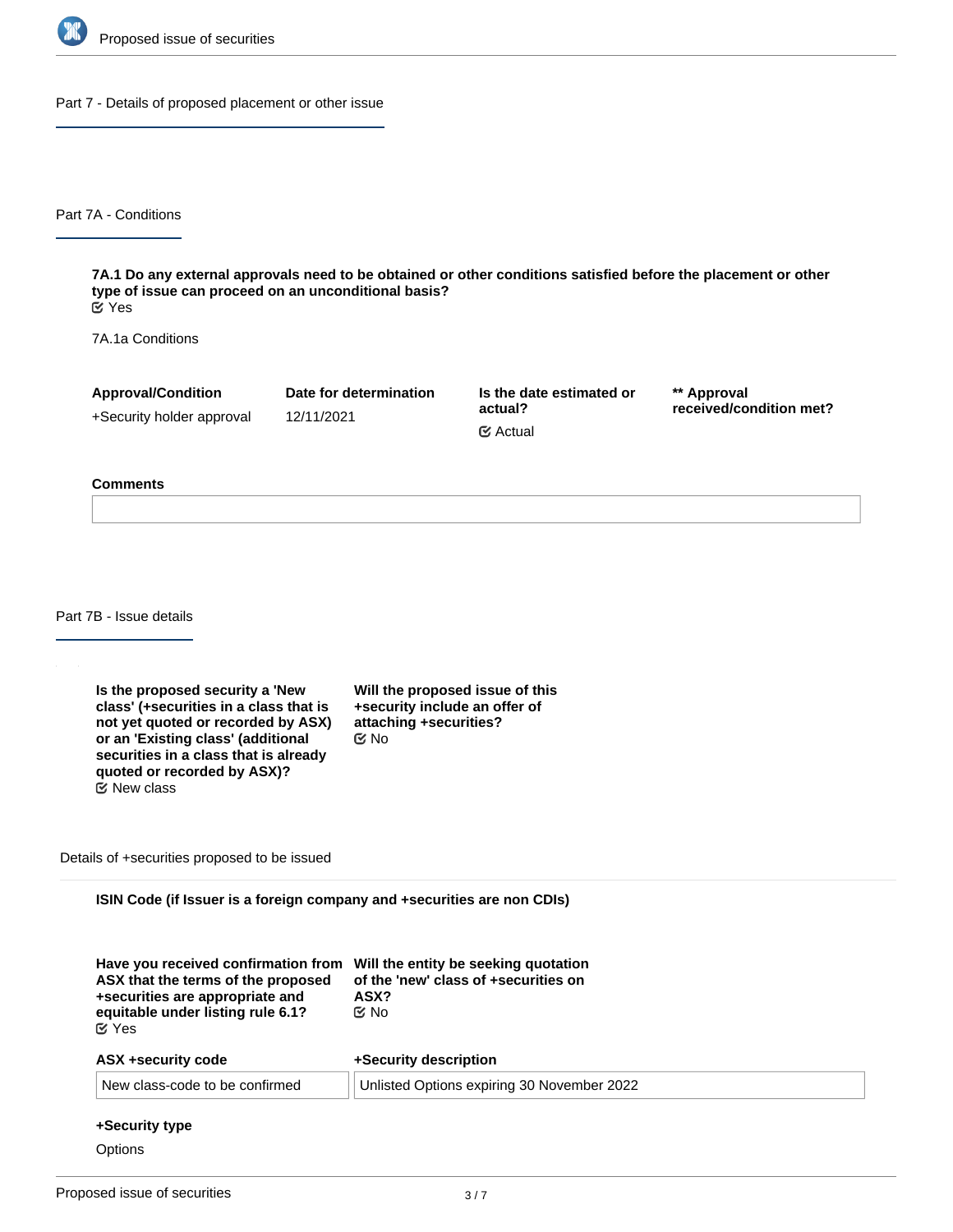

Part 7 - Details of proposed placement or other issue

Part 7A - Conditions

**7A.1 Do any external approvals need to be obtained or other conditions satisfied before the placement or other type of issue can proceed on an unconditional basis?** Yes

7A.1a Conditions

**Approval/Condition** +Security holder approval

12/11/2021

**Date for determination**

**Is the date estimated or actual?** Actual

**\*\* Approval received/condition met?**

#### **Comments**

Part 7B - Issue details

**Is the proposed security a 'New class' (+securities in a class that is not yet quoted or recorded by ASX) or an 'Existing class' (additional securities in a class that is already quoted or recorded by ASX)?** New class

**Will the proposed issue of this +security include an offer of attaching +securities?** No

Details of +securities proposed to be issued

**ISIN Code (if Issuer is a foreign company and +securities are non CDIs)**

| Have you received confirmation from Will the entity be seeking quotation<br>of the 'new' class of +securities on<br>ASX?<br>C⁄⊠ No |  |
|------------------------------------------------------------------------------------------------------------------------------------|--|
| +Security description                                                                                                              |  |
| Unlisted Options expiring 30 November 2022                                                                                         |  |
|                                                                                                                                    |  |

### **+Security type**

**Options**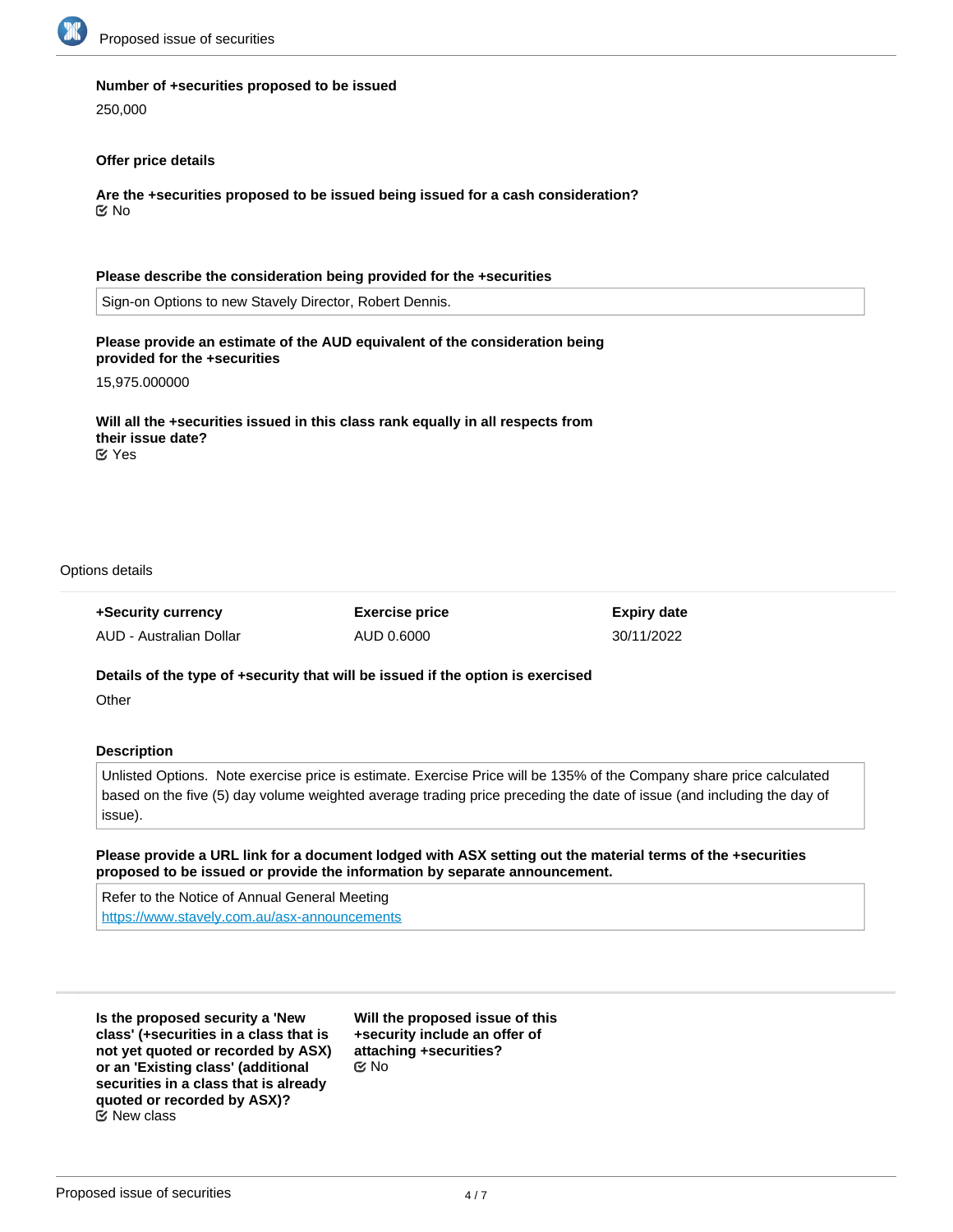

### **Number of +securities proposed to be issued**

250,000

### **Offer price details**

**Are the +securities proposed to be issued being issued for a cash consideration?** No

### **Please describe the consideration being provided for the +securities**

Sign-on Options to new Stavely Director, Robert Dennis.

# **Please provide an estimate of the AUD equivalent of the consideration being provided for the +securities**

15,975.000000

**Will all the +securities issued in this class rank equally in all respects from their issue date?** Yes

Options details

**+Security currency** AUD - Australian Dollar **Exercise price** AUD 0.6000

**Expiry date** 30/11/2022

# **Details of the type of +security that will be issued if the option is exercised**

**Other** 

# **Description**

Unlisted Options. Note exercise price is estimate. Exercise Price will be 135% of the Company share price calculated based on the five (5) day volume weighted average trading price preceding the date of issue (and including the day of issue).

# **Please provide a URL link for a document lodged with ASX setting out the material terms of the +securities proposed to be issued or provide the information by separate announcement.**

Refer to the Notice of Annual General Meeting <https://www.stavely.com.au/asx-announcements>

**Is the proposed security a 'New class' (+securities in a class that is not yet quoted or recorded by ASX) or an 'Existing class' (additional securities in a class that is already quoted or recorded by ASX)?** New class

**Will the proposed issue of this +security include an offer of attaching +securities?** No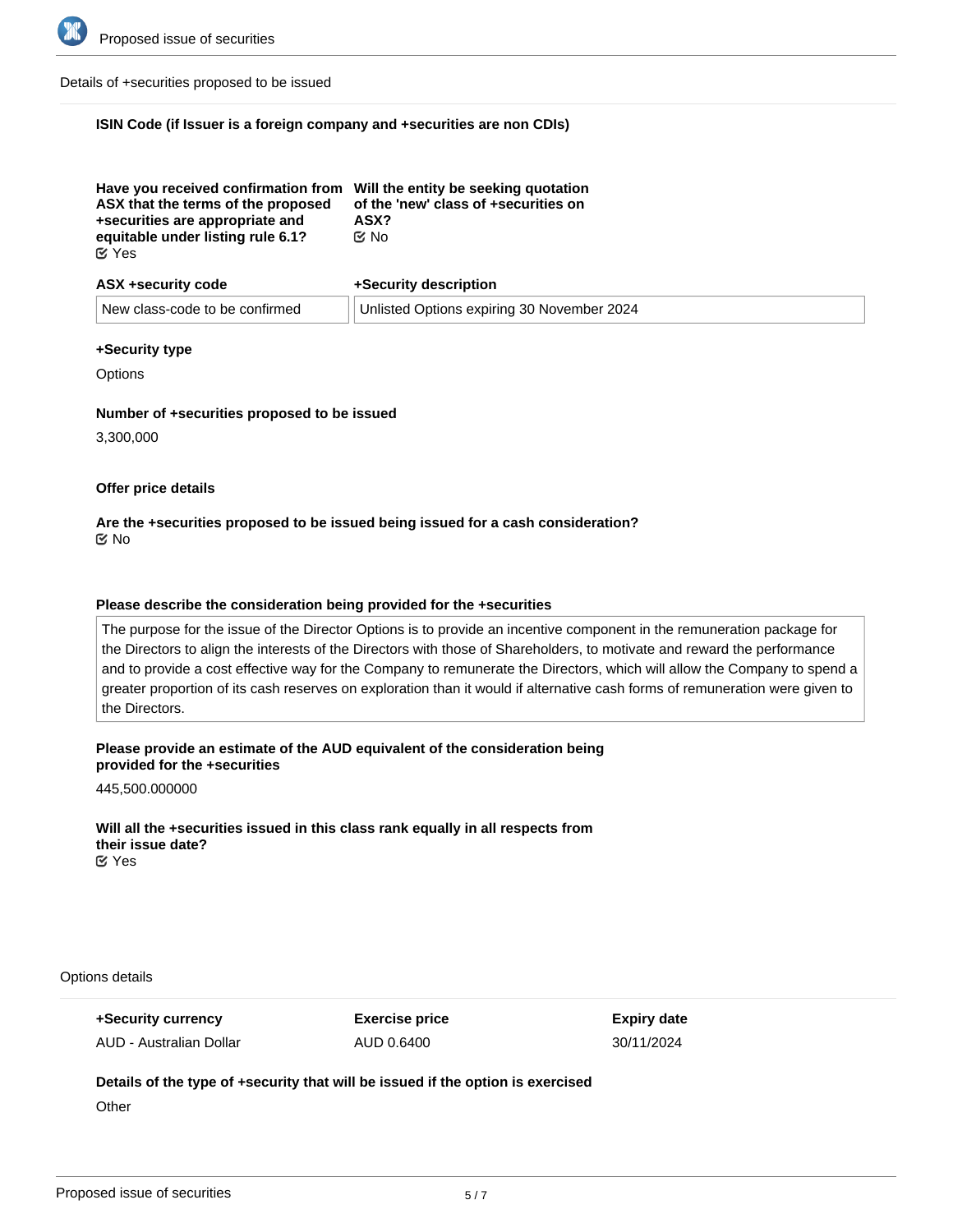

Details of +securities proposed to be issued

### **ISIN Code (if Issuer is a foreign company and +securities are non CDIs)**

| Have you received confirmation from Will the entity be seeking quotation<br>ASX that the terms of the proposed<br>+securities are appropriate and | of the 'new' class of +securities on<br>ASX? |
|---------------------------------------------------------------------------------------------------------------------------------------------------|----------------------------------------------|
|                                                                                                                                                   |                                              |
| equitable under listing rule 6.1?                                                                                                                 | ඦ No                                         |
| $\mathfrak{C}$ Yes                                                                                                                                |                                              |

| ASX +security code             | +Security description                      |
|--------------------------------|--------------------------------------------|
| New class-code to be confirmed | Unlisted Options expiring 30 November 2024 |

### **+Security type**

**Options** 

### **Number of +securities proposed to be issued**

3,300,000

### **Offer price details**

# **Are the +securities proposed to be issued being issued for a cash consideration?** No

### **Please describe the consideration being provided for the +securities**

The purpose for the issue of the Director Options is to provide an incentive component in the remuneration package for the Directors to align the interests of the Directors with those of Shareholders, to motivate and reward the performance and to provide a cost effective way for the Company to remunerate the Directors, which will allow the Company to spend a greater proportion of its cash reserves on exploration than it would if alternative cash forms of remuneration were given to the Directors.

### **Please provide an estimate of the AUD equivalent of the consideration being provided for the +securities**

445,500.000000

**Will all the +securities issued in this class rank equally in all respects from their issue date? EX** Yes

Options details

**+Security currency** AUD - Australian Dollar **Exercise price** AUD 0.6400

**Expiry date** 30/11/2024

# **Details of the type of +security that will be issued if the option is exercised**

**Other**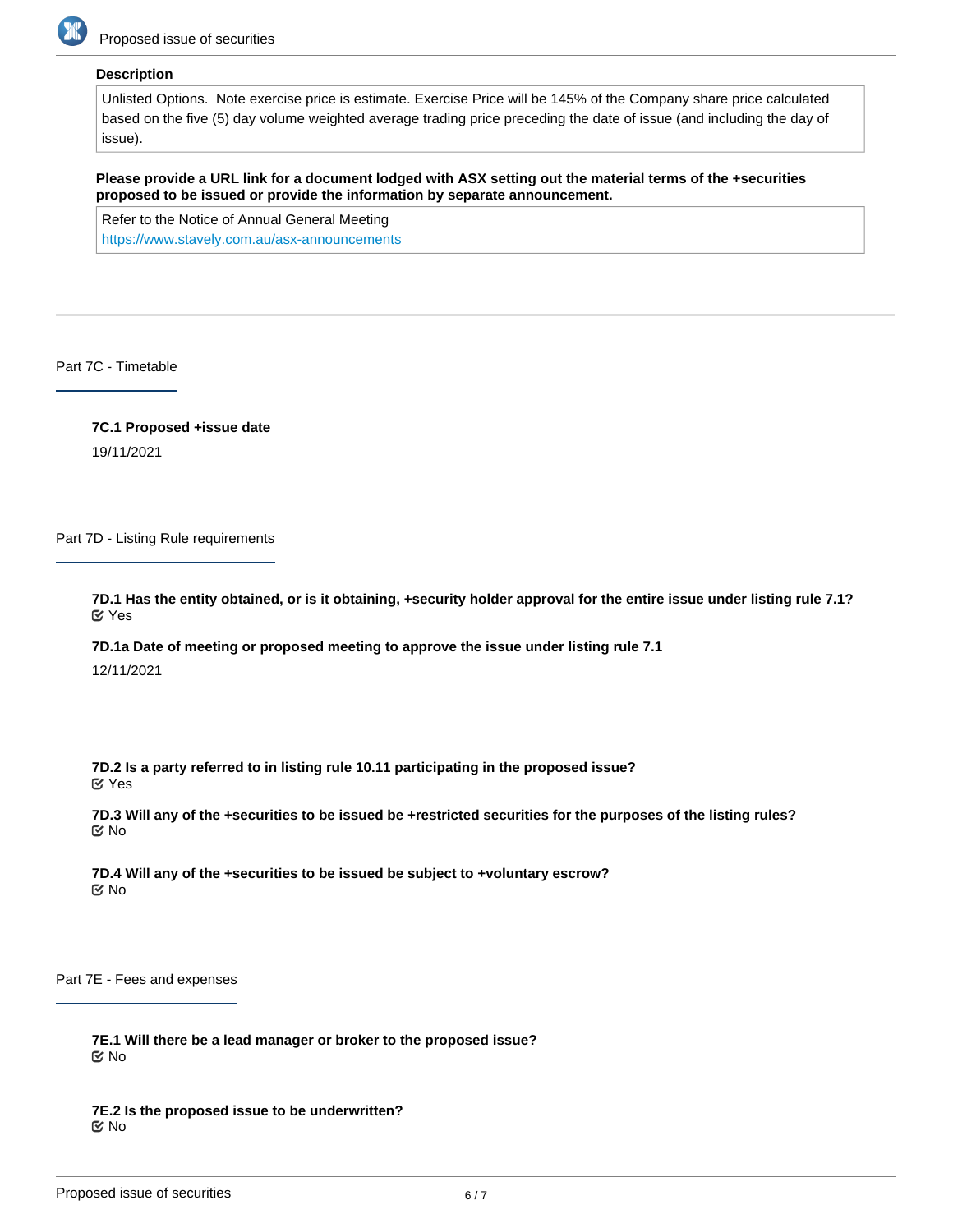

### **Description**

Unlisted Options. Note exercise price is estimate. Exercise Price will be 145% of the Company share price calculated based on the five (5) day volume weighted average trading price preceding the date of issue (and including the day of issue).

**Please provide a URL link for a document lodged with ASX setting out the material terms of the +securities proposed to be issued or provide the information by separate announcement.**

Refer to the Notice of Annual General Meeting <https://www.stavely.com.au/asx-announcements>

# Part 7C - Timetable

**7C.1 Proposed +issue date**

19/11/2021

Part 7D - Listing Rule requirements

**7D.1 Has the entity obtained, or is it obtaining, +security holder approval for the entire issue under listing rule 7.1?** Yes

**7D.1a Date of meeting or proposed meeting to approve the issue under listing rule 7.1**

12/11/2021

**7D.2 Is a party referred to in listing rule 10.11 participating in the proposed issue?** Yes

**7D.3 Will any of the +securities to be issued be +restricted securities for the purposes of the listing rules?** No

**7D.4 Will any of the +securities to be issued be subject to +voluntary escrow?** No

Part 7E - Fees and expenses

**7E.1 Will there be a lead manager or broker to the proposed issue?** No

**7E.2 Is the proposed issue to be underwritten?** No